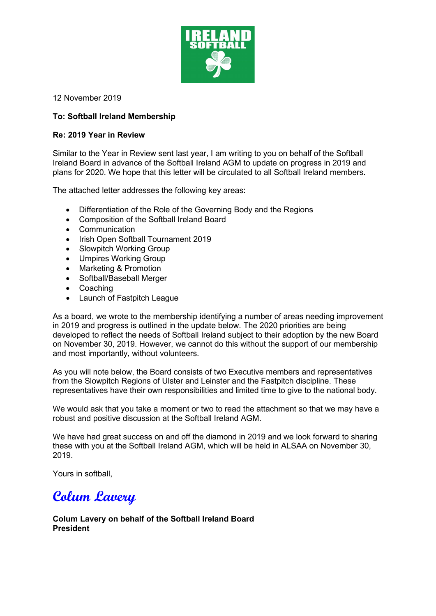

12 November 2019

# **To: Softball Ireland Membership**

#### **Re: 2019 Year in Review**

Similar to the Year in Review sent last year, I am writing to you on behalf of the Softball Ireland Board in advance of the Softball Ireland AGM to update on progress in 2019 and plans for 2020. We hope that this letter will be circulated to all Softball Ireland members.

The attached letter addresses the following key areas:

- Differentiation of the Role of the Governing Body and the Regions
- Composition of the Softball Ireland Board
- Communication
- Irish Open Softball Tournament 2019
- Slowpitch Working Group
- Umpires Working Group
- Marketing & Promotion
- Softball/Baseball Merger
- Coaching
- Launch of Fastpitch League

As a board, we wrote to the membership identifying a number of areas needing improvement in 2019 and progress is outlined in the update below. The 2020 priorities are being developed to reflect the needs of Softball Ireland subject to their adoption by the new Board on November 30, 2019. However, we cannot do this without the support of our membership and most importantly, without volunteers.

As you will note below, the Board consists of two Executive members and representatives from the Slowpitch Regions of Ulster and Leinster and the Fastpitch discipline. These representatives have their own responsibilities and limited time to give to the national body.

We would ask that you take a moment or two to read the attachment so that we may have a robust and positive discussion at the Softball Ireland AGM.

We have had great success on and off the diamond in 2019 and we look forward to sharing these with you at the Softball Ireland AGM, which will be held in ALSAA on November 30, 2019.

Yours in softball,

# **Colum Lavery**

### **Colum Lavery on behalf of the Softball Ireland Board President**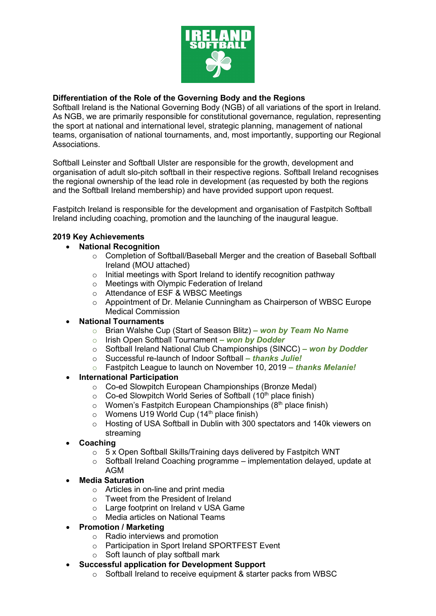

# **Differentiation of the Role of the Governing Body and the Regions**

Softball Ireland is the National Governing Body (NGB) of all variations of the sport in Ireland. As NGB, we are primarily responsible for constitutional governance, regulation, representing the sport at national and international level, strategic planning, management of national teams, organisation of national tournaments, and, most importantly, supporting our Regional Associations.

Softball Leinster and Softball Ulster are responsible for the growth, development and organisation of adult slo-pitch softball in their respective regions. Softball Ireland recognises the regional ownership of the lead role in development (as requested by both the regions and the Softball Ireland membership) and have provided support upon request.

Fastpitch Ireland is responsible for the development and organisation of Fastpitch Softball Ireland including coaching, promotion and the launching of the inaugural league.

## **2019 Key Achievements**

- **National Recognition**
	- o Completion of Softball/Baseball Merger and the creation of Baseball Softball Ireland (MOU attached)
	- o Initial meetings with Sport Ireland to identify recognition pathway
	- o Meetings with Olympic Federation of Ireland
	- o Attendance of ESF & WBSC Meetings
	- o Appointment of Dr. Melanie Cunningham as Chairperson of WBSC Europe Medical Commission

#### • **National Tournaments**

- o Brian Walshe Cup (Start of Season Blitz) **–** *won by Team No Name*
- o Irish Open Softball Tournament **–** *won by Dodder*
- o Softball Ireland National Club Championships (SINCC) **–** *won by Dodder*
- o Successful re-launch of Indoor Softball *– thanks Julie!*
- o Fastpitch League to launch on November 10, 2019 *– thanks Melanie!*

#### • **International Participation**

- o Co-ed Slowpitch European Championships (Bronze Medal)
- $\circ$  Co-ed Slowpitch World Series of Softball (10<sup>th</sup> place finish)
- $\circ$  Women's Fastpitch European Championships (8<sup>th</sup> place finish)
- $\circ$  Womens U19 World Cup (14<sup>th</sup> place finish)
- o Hosting of USA Softball in Dublin with 300 spectators and 140k viewers on streaming
- **Coaching**
	- $\circ$  5 x Open Softball Skills/Training days delivered by Fastpitch WNT
	- o Softball Ireland Coaching programme implementation delayed, update at AGM
- **Media Saturation**
	- o Articles in on-line and print media
	- o Tweet from the President of Ireland
	- o Large footprint on Ireland v USA Game
	- o Media articles on National Teams
- **Promotion / Marketing**
	- o Radio interviews and promotion
	- o Participation in Sport Ireland SPORTFEST Event
	- o Soft launch of play softball mark
- **Successful application for Development Support**
	- o Softball Ireland to receive equipment & starter packs from WBSC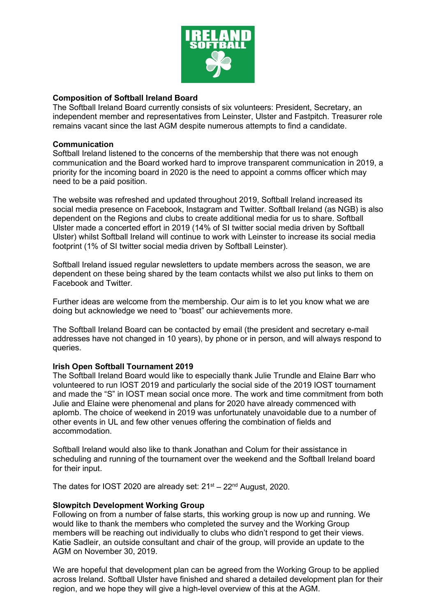

## **Composition of Softball Ireland Board**

The Softball Ireland Board currently consists of six volunteers: President, Secretary, an independent member and representatives from Leinster, Ulster and Fastpitch. Treasurer role remains vacant since the last AGM despite numerous attempts to find a candidate.

#### **Communication**

Softball Ireland listened to the concerns of the membership that there was not enough communication and the Board worked hard to improve transparent communication in 2019, a priority for the incoming board in 2020 is the need to appoint a comms officer which may need to be a paid position.

The website was refreshed and updated throughout 2019, Softball Ireland increased its social media presence on Facebook, Instagram and Twitter. Softball Ireland (as NGB) is also dependent on the Regions and clubs to create additional media for us to share. Softball Ulster made a concerted effort in 2019 (14% of SI twitter social media driven by Softball Ulster) whilst Softball Ireland will continue to work with Leinster to increase its social media footprint (1% of SI twitter social media driven by Softball Leinster).

Softball Ireland issued regular newsletters to update members across the season, we are dependent on these being shared by the team contacts whilst we also put links to them on Facebook and Twitter.

Further ideas are welcome from the membership. Our aim is to let you know what we are doing but acknowledge we need to "boast" our achievements more.

The Softball Ireland Board can be contacted by email (the president and secretary e-mail addresses have not changed in 10 years), by phone or in person, and will always respond to queries.

#### **Irish Open Softball Tournament 2019**

The Softball Ireland Board would like to especially thank Julie Trundle and Elaine Barr who volunteered to run IOST 2019 and particularly the social side of the 2019 IOST tournament and made the "S" in IOST mean social once more. The work and time commitment from both Julie and Elaine were phenomenal and plans for 2020 have already commenced with aplomb. The choice of weekend in 2019 was unfortunately unavoidable due to a number of other events in UL and few other venues offering the combination of fields and accommodation.

Softball Ireland would also like to thank Jonathan and Colum for their assistance in scheduling and running of the tournament over the weekend and the Softball Ireland board for their input.

The dates for IOST 2020 are already set:  $21<sup>st</sup> - 22<sup>nd</sup>$  August, 2020.

#### **Slowpitch Development Working Group**

Following on from a number of false starts, this working group is now up and running. We would like to thank the members who completed the survey and the Working Group members will be reaching out individually to clubs who didn't respond to get their views. Katie Sadleir, an outside consultant and chair of the group, will provide an update to the AGM on November 30, 2019.

We are hopeful that development plan can be agreed from the Working Group to be applied across Ireland. Softball Ulster have finished and shared a detailed development plan for their region, and we hope they will give a high-level overview of this at the AGM.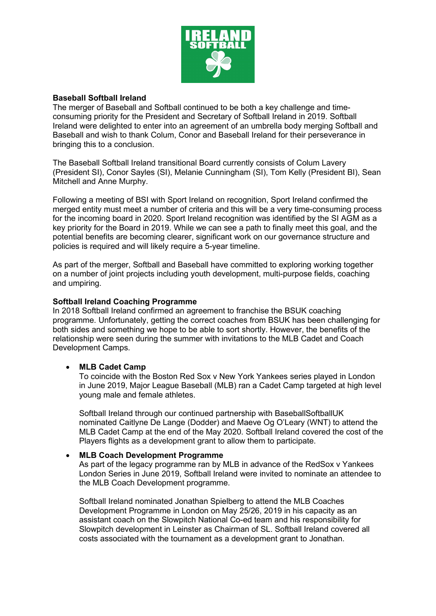

#### **Baseball Softball Ireland**

The merger of Baseball and Softball continued to be both a key challenge and timeconsuming priority for the President and Secretary of Softball Ireland in 2019. Softball Ireland were delighted to enter into an agreement of an umbrella body merging Softball and Baseball and wish to thank Colum, Conor and Baseball Ireland for their perseverance in bringing this to a conclusion.

The Baseball Softball Ireland transitional Board currently consists of Colum Lavery (President SI), Conor Sayles (SI), Melanie Cunningham (SI), Tom Kelly (President BI), Sean Mitchell and Anne Murphy.

Following a meeting of BSI with Sport Ireland on recognition, Sport Ireland confirmed the merged entity must meet a number of criteria and this will be a very time-consuming process for the incoming board in 2020. Sport Ireland recognition was identified by the SI AGM as a key priority for the Board in 2019. While we can see a path to finally meet this goal, and the potential benefits are becoming clearer, significant work on our governance structure and policies is required and will likely require a 5-year timeline.

As part of the merger, Softball and Baseball have committed to exploring working together on a number of joint projects including youth development, multi-purpose fields, coaching and umpiring.

#### **Softball Ireland Coaching Programme**

In 2018 Softball Ireland confirmed an agreement to franchise the BSUK coaching programme. Unfortunately, getting the correct coaches from BSUK has been challenging for both sides and something we hope to be able to sort shortly. However, the benefits of the relationship were seen during the summer with invitations to the MLB Cadet and Coach Development Camps.

#### • **MLB Cadet Camp**

To coincide with the Boston Red Sox v New York Yankees series played in London in June 2019, Major League Baseball (MLB) ran a Cadet Camp targeted at high level young male and female athletes.

Softball Ireland through our continued partnership with BaseballSoftballUK nominated Caitlyne De Lange (Dodder) and Maeve Og O'Leary (WNT) to attend the MLB Cadet Camp at the end of the May 2020. Softball Ireland covered the cost of the Players flights as a development grant to allow them to participate.

#### • **MLB Coach Development Programme**

As part of the legacy programme ran by MLB in advance of the RedSox v Yankees London Series in June 2019, Softball Ireland were invited to nominate an attendee to the MLB Coach Development programme.

Softball Ireland nominated Jonathan Spielberg to attend the MLB Coaches Development Programme in London on May 25/26, 2019 in his capacity as an assistant coach on the Slowpitch National Co-ed team and his responsibility for Slowpitch development in Leinster as Chairman of SL. Softball Ireland covered all costs associated with the tournament as a development grant to Jonathan.